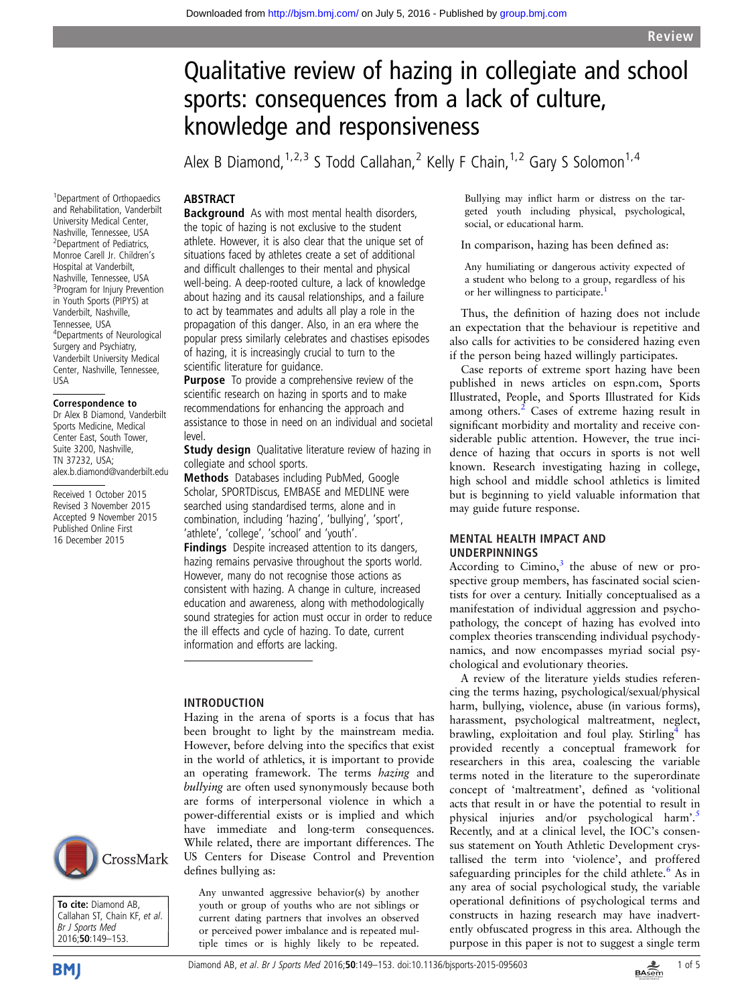# Qualitative review of hazing in collegiate and school sports: consequences from a lack of culture, knowledge and responsiveness

Alex B Diamond,  $1,2,3$  S Todd Callahan, <sup>2</sup> Kelly F Chain,  $1,2$  Gary S Solomon<sup>1, 4</sup>

# **ABSTRACT**

level.

Background As with most mental health disorders, the topic of hazing is not exclusive to the student athlete. However, it is also clear that the unique set of situations faced by athletes create a set of additional and difficult challenges to their mental and physical well-being. A deep-rooted culture, a lack of knowledge about hazing and its causal relationships, and a failure to act by teammates and adults all play a role in the propagation of this danger. Also, in an era where the popular press similarly celebrates and chastises episodes of hazing, it is increasingly crucial to turn to the

**Purpose** To provide a comprehensive review of the scientific research on hazing in sports and to make recommendations for enhancing the approach and assistance to those in need on an individual and societal

**Study design** Qualitative literature review of hazing in

Methods Databases including PubMed, Google Scholar, SPORTDiscus, EMBASE and MEDLINE were searched using standardised terms, alone and in combination, including 'hazing', 'bullying', 'sport',

Findings Despite increased attention to its dangers, hazing remains pervasive throughout the sports world. However, many do not recognise those actions as consistent with hazing. A change in culture, increased education and awareness, along with methodologically sound strategies for action must occur in order to reduce the ill effects and cycle of hazing. To date, current

Hazing in the arena of sports is a focus that has been brought to light by the mainstream media. However, before delving into the specifics that exist in the world of athletics, it is important to provide an operating framework. The terms hazing and bullying are often used synonymously because both are forms of interpersonal violence in which a power-differential exists or is implied and which have immediate and long-term consequences. While related, there are important differences. The US Centers for Disease Control and Prevention

'athlete', 'college', 'school' and 'youth'.

information and efforts are lacking.

INTRODUCTION

defines bullying as:

scientific literature for guidance.

collegiate and school sports.

1 Department of Orthopaedics and Rehabilitation, Vanderbilt University Medical Center, Nashville, Tennessee, USA 2 Department of Pediatrics, Monroe Carell Jr. Children's Hospital at Vanderbilt, Nashville, Tennessee, USA <sup>3</sup> Program for Injury Prevention in Youth Sports (PIPYS) at Vanderbilt, Nashville, Tennessee, USA 4 Departments of Neurological Surgery and Psychiatry, Vanderbilt University Medical Center, Nashville, Tennessee, USA

#### Correspondence to

Dr Alex B Diamond, Vanderbilt Sports Medicine, Medical Center East, South Tower, Suite 3200, Nashville, TN 37232, USA; alex.b.diamond@vanderbilt.edu

Received 1 October 2015 Revised 3 November 2015 Accepted 9 November 2015 Published Online First 16 December 2015



To cite: Diamond AB, Callahan ST, Chain KF, et al. Br J Sports Med 2016;50:149–153.

**BMI** 

current dating partners that involves an observed or perceived power imbalance and is repeated multiple times or is highly likely to be repeated.

Any unwanted aggressive behavior(s) by another youth or group of youths who are not siblings or

Bullying may inflict harm or distress on the targeted youth including physical, psychological, social, or educational harm.

In comparison, hazing has been defined as:

Any humiliating or dangerous activity expected of a student who belong to a group, regardless of his or her willingness to participate.<sup>[1](#page-4-0)</sup>

Thus, the definition of hazing does not include an expectation that the behaviour is repetitive and also calls for activities to be considered hazing even if the person being hazed willingly participates.

Case reports of extreme sport hazing have been published in news articles on espn.com, Sports Illustrated, People, and Sports Illustrated for Kids among others.<sup>[2](#page-4-0)</sup> Cases of extreme hazing result in significant morbidity and mortality and receive considerable public attention. However, the true incidence of hazing that occurs in sports is not well known. Research investigating hazing in college, high school and middle school athletics is limited but is beginning to yield valuable information that may guide future response.

#### MENTAL HEALTH IMPACT AND UNDERPINNINGS

According to Cimino, $3$  the abuse of new or prospective group members, has fascinated social scientists for over a century. Initially conceptualised as a manifestation of individual aggression and psychopathology, the concept of hazing has evolved into complex theories transcending individual psychodynamics, and now encompasses myriad social psychological and evolutionary theories.

A review of the literature yields studies referencing the terms hazing, psychological/sexual/physical harm, bullying, violence, abuse (in various forms), harassment, psychological maltreatment, neglect, brawling, exploitation and foul play. Stirling<sup>[4](#page-4-0)</sup> has provided recently a conceptual framework for researchers in this area, coalescing the variable terms noted in the literature to the superordinate concept of 'maltreatment', defined as 'volitional acts that result in or have the potential to result in physical injuries and/or psychological harm'. [5](#page-4-0) Recently, and at a clinical level, the IOC's consensus statement on Youth Athletic Development crystallised the term into 'violence', and proffered safeguarding principles for the child athlete.<sup>6</sup> As in any area of social psychological study, the variable operational definitions of psychological terms and constructs in hazing research may have inadvertently obfuscated progress in this area. Although the purpose in this paper is not to suggest a single term

Diamond AB, et al. Br J Sports Med 2016;**50**:149–153. doi:10.1136/bjsports-2015-095603 **1 of 5 BASED** 1 of 5

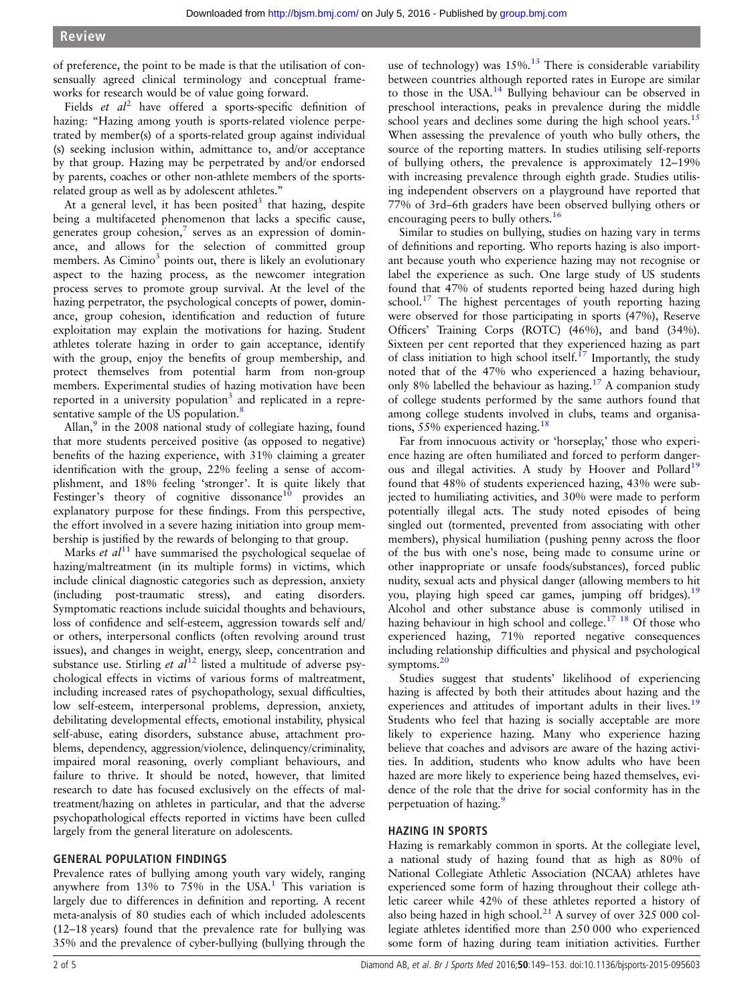of preference, the point to be made is that the utilisation of consensually agreed clinical terminology and conceptual frameworks for research would be of value going forward.

Fields *et al*<sup>[2](#page-4-0)</sup> have offered a sports-specific definition of hazing: "Hazing among youth is sports-related violence perpetrated by member(s) of a sports-related group against individual (s) seeking inclusion within, admittance to, and/or acceptance by that group. Hazing may be perpetrated by and/or endorsed by parents, coaches or other non-athlete members of the sportsrelated group as well as by adolescent athletes."

At a general level, it has been posited<sup>[3](#page-4-0)</sup> that hazing, despite being a multifaceted phenomenon that lacks a specific cause, generates group cohesion, $\frac{7}{1}$  serves as an expression of dominance, and allows for the selection of committed group members. As  $Cimino<sup>3</sup>$  $Cimino<sup>3</sup>$  $Cimino<sup>3</sup>$  points out, there is likely an evolutionary aspect to the hazing process, as the newcomer integration process serves to promote group survival. At the level of the hazing perpetrator, the psychological concepts of power, dominance, group cohesion, identification and reduction of future exploitation may explain the motivations for hazing. Student athletes tolerate hazing in order to gain acceptance, identify with the group, enjoy the benefits of group membership, and protect themselves from potential harm from non-group members. Experimental studies of hazing motivation have been reported in a university population<sup>3</sup> and replicated in a representative sample of the US population.<sup>8</sup>

Allan, $9$  in the 2008 national study of collegiate hazing, found that more students perceived positive (as opposed to negative) benefits of the hazing experience, with 31% claiming a greater identification with the group, 22% feeling a sense of accomplishment, and 18% feeling 'stronger'. It is quite likely that Festinger's theory of cognitive dissonance<sup>[10](#page-4-0)</sup> provides an explanatory purpose for these findings. From this perspective, the effort involved in a severe hazing initiation into group membership is justified by the rewards of belonging to that group.

Marks *et al*<sup>[11](#page-4-0)</sup> have summarised the psychological sequelae of hazing/maltreatment (in its multiple forms) in victims, which include clinical diagnostic categories such as depression, anxiety (including post-traumatic stress), and eating disorders. Symptomatic reactions include suicidal thoughts and behaviours, loss of confidence and self-esteem, aggression towards self and/ or others, interpersonal conflicts (often revolving around trust issues), and changes in weight, energy, sleep, concentration and substance use. Stirling et  $a\overline{l}^{12}$  $a\overline{l}^{12}$  $a\overline{l}^{12}$  listed a multitude of adverse psychological effects in victims of various forms of maltreatment, including increased rates of psychopathology, sexual difficulties, low self-esteem, interpersonal problems, depression, anxiety, debilitating developmental effects, emotional instability, physical self-abuse, eating disorders, substance abuse, attachment problems, dependency, aggression/violence, delinquency/criminality, impaired moral reasoning, overly compliant behaviours, and failure to thrive. It should be noted, however, that limited research to date has focused exclusively on the effects of maltreatment/hazing on athletes in particular, and that the adverse psychopathological effects reported in victims have been culled largely from the general literature on adolescents.

#### GENERAL POPULATION FINDINGS

Prevalence rates of bullying among youth vary widely, ranging anywhere from 13% to 75% in the USA.<sup>1</sup> This variation is largely due to differences in definition and reporting. A recent meta-analysis of 80 studies each of which included adolescents (12–18 years) found that the prevalence rate for bullying was 35% and the prevalence of cyber-bullying (bullying through the

use of technology) was  $15\%$ .<sup>[13](#page-4-0)</sup> There is considerable variability between countries although reported rates in Europe are similar to those in the USA.[14](#page-4-0) Bullying behaviour can be observed in preschool interactions, peaks in prevalence during the middle school years and declines some during the high school years.<sup>[15](#page-4-0)</sup> When assessing the prevalence of youth who bully others, the source of the reporting matters. In studies utilising self-reports of bullying others, the prevalence is approximately 12–19% with increasing prevalence through eighth grade. Studies utilising independent observers on a playground have reported that 77% of 3rd–6th graders have been observed bullying others or encouraging peers to bully others.<sup>[16](#page-4-0)</sup>

Similar to studies on bullying, studies on hazing vary in terms of definitions and reporting. Who reports hazing is also important because youth who experience hazing may not recognise or label the experience as such. One large study of US students found that 47% of students reported being hazed during high school.<sup>[17](#page-4-0)</sup> The highest percentages of youth reporting hazing were observed for those participating in sports (47%), Reserve Officers' Training Corps (ROTC) (46%), and band (34%). Sixteen per cent reported that they experienced hazing as part of class initiation to high school itself.<sup>[17](#page-4-0)</sup> Importantly, the study noted that of the 47% who experienced a hazing behaviour, only 8% labelled the behaviour as hazing.<sup>[17](#page-4-0)</sup> A companion study of college students performed by the same authors found that among college students involved in clubs, teams and organisations,  $55\%$  experienced hazing.<sup>1</sup>

Far from innocuous activity or 'horseplay,' those who experience hazing are often humiliated and forced to perform danger-ous and illegal activities. A study by Hoover and Pollard<sup>[19](#page-4-0)</sup> found that 48% of students experienced hazing, 43% were subjected to humiliating activities, and 30% were made to perform potentially illegal acts. The study noted episodes of being singled out (tormented, prevented from associating with other members), physical humiliation (pushing penny across the floor of the bus with one's nose, being made to consume urine or other inappropriate or unsafe foods/substances), forced public nudity, sexual acts and physical danger (allowing members to hit you, playing high speed car games, jumping off bridges).<sup>[19](#page-4-0)</sup> Alcohol and other substance abuse is commonly utilised in hazing behaviour in high school and college.<sup>[17 18](#page-4-0)</sup> Of those who experienced hazing, 71% reported negative consequences including relationship difficulties and physical and psychological symptoms.<sup>[20](#page-4-0)</sup>

Studies suggest that students' likelihood of experiencing hazing is affected by both their attitudes about hazing and the experiences and attitudes of important adults in their lives.<sup>[19](#page-4-0)</sup> Students who feel that hazing is socially acceptable are more likely to experience hazing. Many who experience hazing believe that coaches and advisors are aware of the hazing activities. In addition, students who know adults who have been hazed are more likely to experience being hazed themselves, evidence of the role that the drive for social conformity has in the perpetuation of hazing.<sup>[9](#page-4-0)</sup>

#### HAZING IN SPORTS

Hazing is remarkably common in sports. At the collegiate level, a national study of hazing found that as high as 80% of National Collegiate Athletic Association (NCAA) athletes have experienced some form of hazing throughout their college athletic career while 42% of these athletes reported a history of also being hazed in high school.<sup>[21](#page-4-0)</sup> A survey of over  $325\,000\,$  collegiate athletes identified more than 250 000 who experienced some form of hazing during team initiation activities. Further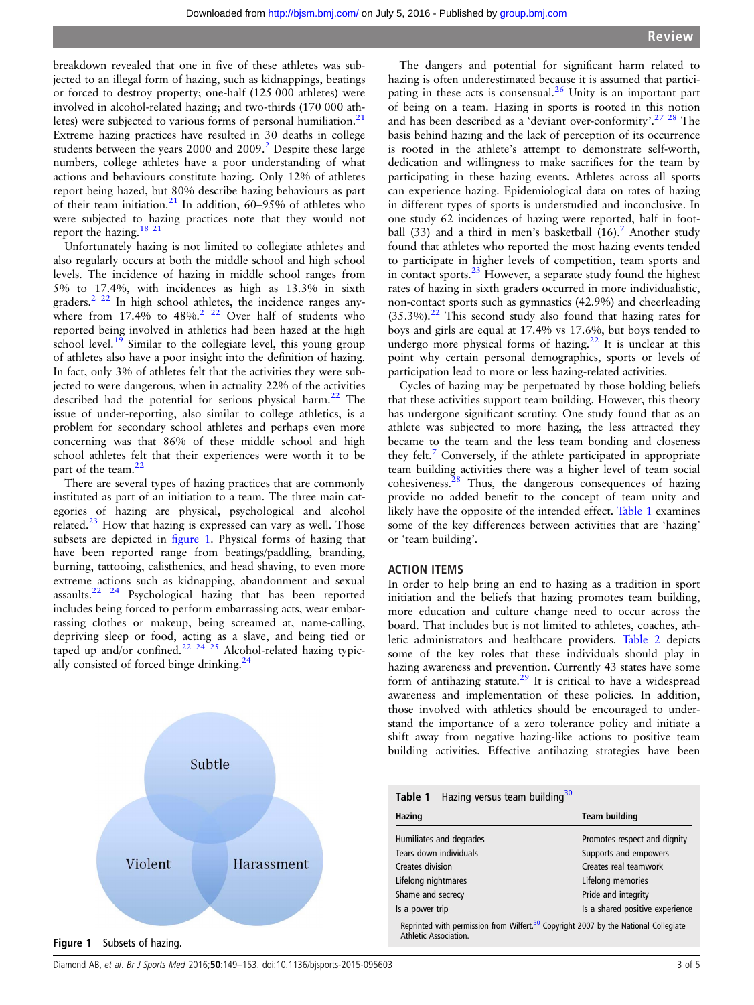breakdown revealed that one in five of these athletes was subjected to an illegal form of hazing, such as kidnappings, beatings or forced to destroy property; one-half (125 000 athletes) were involved in alcohol-related hazing; and two-thirds (170 000 athletes) were subjected to various forms of personal humiliation.<sup>21</sup> Extreme hazing practices have resulted in 30 deaths in college students between the years 2000 and 2009.<sup>2</sup> Despite these large numbers, college athletes have a poor understanding of what actions and behaviours constitute hazing. Only 12% of athletes report being hazed, but 80% describe hazing behaviours as part of their team initiation.<sup>21</sup> In addition, 60–95% of athletes who were subjected to hazing practices note that they would not report the hazing[.18 21](#page-4-0)

Unfortunately hazing is not limited to collegiate athletes and also regularly occurs at both the middle school and high school levels. The incidence of hazing in middle school ranges from 5% to 17.4%, with incidences as high as 13.3% in sixth graders.<sup>[2 22](#page-4-0)</sup> In high school athletes, the incidence ranges anywhere from  $17.4\%$  to  $48\%$ .<sup>2</sup> <sup>22</sup> Over half of students who reported being involved in athletics had been hazed at the high school level.<sup>[19](#page-4-0)</sup> Similar to the collegiate level, this young group of athletes also have a poor insight into the definition of hazing. In fact, only 3% of athletes felt that the activities they were subjected to were dangerous, when in actuality 22% of the activities described had the potential for serious physical harm.<sup>[22](#page-4-0)</sup> The issue of under-reporting, also similar to college athletics, is a problem for secondary school athletes and perhaps even more concerning was that 86% of these middle school and high school athletes felt that their experiences were worth it to be part of the team.<sup>2</sup>

There are several types of hazing practices that are commonly instituted as part of an initiation to a team. The three main categories of hazing are physical, psychological and alcohol related. $23$  How that hazing is expressed can vary as well. Those subsets are depicted in figure 1. Physical forms of hazing that have been reported range from beatings/paddling, branding, burning, tattooing, calisthenics, and head shaving, to even more extreme actions such as kidnapping, abandonment and sexual assaults.[22 24](#page-4-0) Psychological hazing that has been reported includes being forced to perform embarrassing acts, wear embarrassing clothes or makeup, being screamed at, name-calling, depriving sleep or food, acting as a slave, and being tied or taped up and/or confined.<sup>[22 24 25](#page-4-0)</sup> Alcohol-related hazing typic-ally consisted of forced binge drinking.<sup>[24](#page-4-0)</sup>



Figure 1 Subsets of hazing.

Diamond AB, et al. Br J Sports Med 2016;50:149–153. doi:10.1136/bjsports-2015-095603 3 of 5

The dangers and potential for significant harm related to hazing is often underestimated because it is assumed that participating in these acts is consensual.[26](#page-4-0) Unity is an important part of being on a team. Hazing in sports is rooted in this notion and has been described as a 'deviant over-conformity'. [27 28](#page-4-0) The basis behind hazing and the lack of perception of its occurrence is rooted in the athlete's attempt to demonstrate self-worth, dedication and willingness to make sacrifices for the team by participating in these hazing events. Athletes across all sports can experience hazing. Epidemiological data on rates of hazing in different types of sports is understudied and inconclusive. In one study 62 incidences of hazing were reported, half in football (33) and a third in men's basketball  $(16)$ .<sup>[7](#page-4-0)</sup> Another study found that athletes who reported the most hazing events tended to participate in higher levels of competition, team sports and in contact sports.[23](#page-4-0) However, a separate study found the highest rates of hazing in sixth graders occurred in more individualistic, non-contact sports such as gymnastics (42.9%) and cheerleading  $(35.3\%)$ <sup>[22](#page-4-0)</sup>. This second study also found that hazing rates for boys and girls are equal at 17.4% vs 17.6%, but boys tended to undergo more physical forms of hazing.<sup>[22](#page-4-0)</sup> It is unclear at this point why certain personal demographics, sports or levels of participation lead to more or less hazing-related activities.

Cycles of hazing may be perpetuated by those holding beliefs that these activities support team building. However, this theory has undergone significant scrutiny. One study found that as an athlete was subjected to more hazing, the less attracted they became to the team and the less team bonding and closeness they felt.[7](#page-4-0) Conversely, if the athlete participated in appropriate team building activities there was a higher level of team social cohesiveness.[28](#page-4-0) Thus, the dangerous consequences of hazing provide no added benefit to the concept of team unity and likely have the opposite of the intended effect. Table 1 examines some of the key differences between activities that are 'hazing' or 'team building'.

#### ACTION ITEMS

In order to help bring an end to hazing as a tradition in sport initiation and the beliefs that hazing promotes team building, more education and culture change need to occur across the board. That includes but is not limited to athletes, coaches, athletic administrators and healthcare providers. [Table 2](#page-3-0) depicts some of the key roles that these individuals should play in hazing awareness and prevention. Currently 43 states have some form of antihazing statute.<sup>[29](#page-4-0)</sup> It is critical to have a widespread awareness and implementation of these policies. In addition, those involved with athletics should be encouraged to understand the importance of a zero tolerance policy and initiate a shift away from negative hazing-like actions to positive team building activities. Effective antihazing strategies have been

| Hazing                                                                                                                   | <b>Team building</b>            |
|--------------------------------------------------------------------------------------------------------------------------|---------------------------------|
| Humiliates and degrades                                                                                                  | Promotes respect and dignity    |
| Tears down individuals                                                                                                   | Supports and empowers           |
| Creates division                                                                                                         | Creates real teamwork           |
| Lifelong nightmares                                                                                                      | Lifelong memories               |
| Shame and secrecy                                                                                                        | Pride and integrity             |
| Is a power trip                                                                                                          | Is a shared positive experience |
| Reprinted with permission from Wilfert. <sup>30</sup> Copyright 2007 by the National Collegiate<br>Athletic Association. |                                 |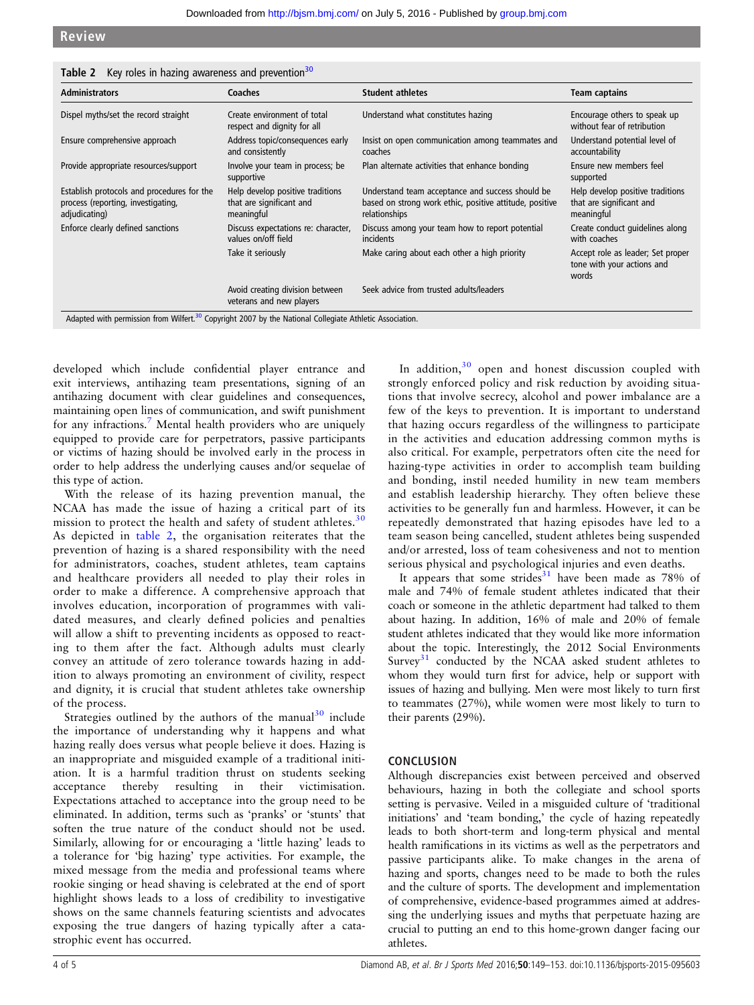<span id="page-3-0"></span>

| <b>Administrators</b>                                                                             | <b>Coaches</b>                                                             | <b>Student athletes</b>                                                                                                      | <b>Team captains</b>                                                       |
|---------------------------------------------------------------------------------------------------|----------------------------------------------------------------------------|------------------------------------------------------------------------------------------------------------------------------|----------------------------------------------------------------------------|
| Dispel myths/set the record straight                                                              | Create environment of total<br>respect and dignity for all                 | Understand what constitutes hazing                                                                                           | Encourage others to speak up<br>without fear of retribution                |
| Ensure comprehensive approach                                                                     | Address topic/consequences early<br>and consistently                       | Insist on open communication among teammates and<br>coaches                                                                  | Understand potential level of<br>accountability                            |
| Provide appropriate resources/support                                                             | Involve your team in process; be<br>supportive                             | Plan alternate activities that enhance bonding                                                                               | Ensure new members feel<br>supported                                       |
| Establish protocols and procedures for the<br>process (reporting, investigating,<br>adjudicating) | Help develop positive traditions<br>that are significant and<br>meaningful | Understand team acceptance and success should be<br>based on strong work ethic, positive attitude, positive<br>relationships | Help develop positive traditions<br>that are significant and<br>meaningful |
| Enforce clearly defined sanctions                                                                 | Discuss expectations re: character,<br>values on/off field                 | Discuss among your team how to report potential<br>incidents                                                                 | Create conduct quidelines along<br>with coaches                            |
|                                                                                                   | Take it seriously                                                          | Make caring about each other a high priority                                                                                 | Accept role as leader; Set proper<br>tone with your actions and<br>words   |
|                                                                                                   | Avoid creating division between<br>veterans and new players                | Seek advice from trusted adults/leaders                                                                                      |                                                                            |

developed which include confidential player entrance and exit interviews, antihazing team presentations, signing of an antihazing document with clear guidelines and consequences, maintaining open lines of communication, and swift punishment for any infractions[.7](#page-4-0) Mental health providers who are uniquely equipped to provide care for perpetrators, passive participants or victims of hazing should be involved early in the process in order to help address the underlying causes and/or sequelae of this type of action.

With the release of its hazing prevention manual, the NCAA has made the issue of hazing a critical part of its mission to protect the health and safety of student athletes. $30$ As depicted in table 2, the organisation reiterates that the prevention of hazing is a shared responsibility with the need for administrators, coaches, student athletes, team captains and healthcare providers all needed to play their roles in order to make a difference. A comprehensive approach that involves education, incorporation of programmes with validated measures, and clearly defined policies and penalties will allow a shift to preventing incidents as opposed to reacting to them after the fact. Although adults must clearly convey an attitude of zero tolerance towards hazing in addition to always promoting an environment of civility, respect and dignity, it is crucial that student athletes take ownership of the process.

Strategies outlined by the authors of the manual $30$  include the importance of understanding why it happens and what hazing really does versus what people believe it does. Hazing is an inappropriate and misguided example of a traditional initiation. It is a harmful tradition thrust on students seeking acceptance thereby resulting in their victimisation. Expectations attached to acceptance into the group need to be eliminated. In addition, terms such as 'pranks' or 'stunts' that soften the true nature of the conduct should not be used. Similarly, allowing for or encouraging a 'little hazing' leads to a tolerance for 'big hazing' type activities. For example, the mixed message from the media and professional teams where rookie singing or head shaving is celebrated at the end of sport highlight shows leads to a loss of credibility to investigative shows on the same channels featuring scientists and advocates exposing the true dangers of hazing typically after a catastrophic event has occurred.

In addition, $30$  open and honest discussion coupled with strongly enforced policy and risk reduction by avoiding situations that involve secrecy, alcohol and power imbalance are a few of the keys to prevention. It is important to understand that hazing occurs regardless of the willingness to participate in the activities and education addressing common myths is also critical. For example, perpetrators often cite the need for hazing-type activities in order to accomplish team building and bonding, instil needed humility in new team members and establish leadership hierarchy. They often believe these activities to be generally fun and harmless. However, it can be repeatedly demonstrated that hazing episodes have led to a team season being cancelled, student athletes being suspended and/or arrested, loss of team cohesiveness and not to mention serious physical and psychological injuries and even deaths.

It appears that some strides<sup>31</sup> have been made as 78% of male and 74% of female student athletes indicated that their coach or someone in the athletic department had talked to them about hazing. In addition, 16% of male and 20% of female student athletes indicated that they would like more information about the topic. Interestingly, the 2012 Social Environments Survey<sup>31</sup> conducted by the NCAA asked student athletes to whom they would turn first for advice, help or support with issues of hazing and bullying. Men were most likely to turn first to teammates (27%), while women were most likely to turn to their parents (29%).

## **CONCLUSION**

Although discrepancies exist between perceived and observed behaviours, hazing in both the collegiate and school sports setting is pervasive. Veiled in a misguided culture of 'traditional initiations' and 'team bonding,' the cycle of hazing repeatedly leads to both short-term and long-term physical and mental health ramifications in its victims as well as the perpetrators and passive participants alike. To make changes in the arena of hazing and sports, changes need to be made to both the rules and the culture of sports. The development and implementation of comprehensive, evidence-based programmes aimed at addressing the underlying issues and myths that perpetuate hazing are crucial to putting an end to this home-grown danger facing our athletes.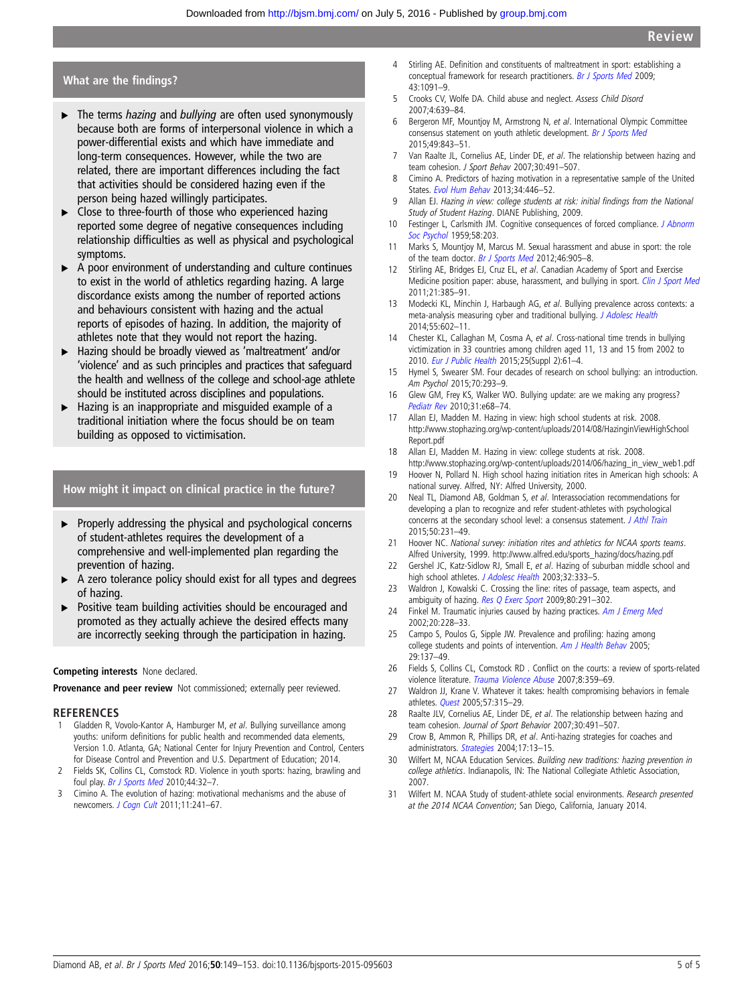## <span id="page-4-0"></span>What are the findings?

- $\blacktriangleright$  The terms *hazing* and *bullying* are often used synonymously because both are forms of interpersonal violence in which a power-differential exists and which have immediate and long-term consequences. However, while the two are related, there are important differences including the fact that activities should be considered hazing even if the person being hazed willingly participates.
- $\blacktriangleright$  Close to three-fourth of those who experienced hazing reported some degree of negative consequences including relationship difficulties as well as physical and psychological symptoms.
- $\triangleright$  A poor environment of understanding and culture continues to exist in the world of athletics regarding hazing. A large discordance exists among the number of reported actions and behaviours consistent with hazing and the actual reports of episodes of hazing. In addition, the majority of athletes note that they would not report the hazing.
- ▸ Hazing should be broadly viewed as 'maltreatment' and/or 'violence' and as such principles and practices that safeguard the health and wellness of the college and school-age athlete should be instituted across disciplines and populations.
- ▸ Hazing is an inappropriate and misguided example of a traditional initiation where the focus should be on team building as opposed to victimisation.

#### How might it impact on clinical practice in the future?

- $\triangleright$  Properly addressing the physical and psychological concerns of student-athletes requires the development of a comprehensive and well-implemented plan regarding the prevention of hazing.
- A zero tolerance policy should exist for all types and degrees of hazing.
- ▸ Positive team building activities should be encouraged and promoted as they actually achieve the desired effects many are incorrectly seeking through the participation in hazing.

#### Competing interests None declared.

Provenance and peer review Not commissioned; externally peer reviewed.

#### **REFERENCES**

- 1 Gladden R, Vovolo-Kantor A, Hamburger M, et al. Bullying surveillance among youths: uniform definitions for public health and recommended data elements, Version 1.0. Atlanta, GA; National Center for Injury Prevention and Control, Centers for Disease Control and Prevention and U.S. Department of Education; 2014.
- Fields SK, Collins CL, Comstock RD. Violence in youth sports: hazing, brawling and foul play. [Br J Sports Med](http://dx.doi.org/10.1136/bjsm.2009.068320) 2010;44:32–7.
- 3 Cimino A. The evolution of hazing: motivational mechanisms and the abuse of newcomers. [J Cogn Cult](http://dx.doi.org/10.1163/156853711X591242) 2011;11:241–67.
- 4 Stirling AE. Definition and constituents of maltreatment in sport: establishing a conceptual framework for research practitioners. [Br J Sports Med](http://dx.doi.org/10.1136/bjsm.2008.051433) 2009; 43:1091–9.
- 5 Crooks CV, Wolfe DA. Child abuse and neglect. Assess Child Disord 2007;4:639–84.
- 6 Bergeron MF, Mountjoy M, Armstrong N, et al. International Olympic Committee consensus statement on youth athletic development. [Br J Sports Med](http://dx.doi.org/10.1136/bjsports-2015-094962) 2015;49:843–51.
- 7 Van Raalte JL, Cornelius AE, Linder DE, et al. The relationship between hazing and team cohesion. J Sport Behav 2007;30:491-507.
- 8 Cimino A. Predictors of hazing motivation in a representative sample of the United States. [Evol Hum Behav](http://dx.doi.org/10.1016/j.evolhumbehav.2013.08.007) 2013;34:446–52.
- 9 Allan EJ. Hazing in view: college students at risk: initial findings from the National Study of Student Hazing. DIANE Publishing, 2009.
- 10 Festinger L, Carlsmith JM. Cognitive consequences of forced compliance. [J Abnorm](http://dx.doi.org/10.1037/h0041593) [Soc Psychol](http://dx.doi.org/10.1037/h0041593) 1959;58:203.
- 11 Marks S, Mountjoy M, Marcus M. Sexual harassment and abuse in sport: the role of the team doctor. [Br J Sports Med](http://dx.doi.org/10.1136/bjsports-2011-090345) 2012;46:905-8.
- 12 Stirling AE, Bridges EJ, Cruz EL, et al. Canadian Academy of Sport and Exercise Medicine position paper: abuse, harassment, and bullying in sport. [Clin J Sport Med](http://dx.doi.org/10.1097/JSM.0b013e31820f9248) 2011;21:385–91.
- 13 Modecki KL, Minchin J, Harbaugh AG, et al. Bullying prevalence across contexts: a meta-analysis measuring cyber and traditional bullying. [J Adolesc Health](http://dx.doi.org/10.1016/j.jadohealth.2014.06.007) 2014;55:602–11.
- 14 Chester KL, Callaghan M, Cosma A, et al. Cross-national time trends in bullying victimization in 33 countries among children aged 11, 13 and 15 from 2002 to 2010. [Eur J Public Health](http://dx.doi.org/10.1093/eurpub/ckv029) 2015;25(Suppl 2):61–4.
- 15 Hymel S, Swearer SM. Four decades of research on school bullying: an introduction. Am Psychol 2015;70:293–9.
- Glew GM, Frey KS, Walker WO. Bullying update: are we making any progress? [Pediatr Rev](http://dx.doi.org/10.1542/pir.31-9-e68) 2010;31:e68–74.
- 17 Allan EJ, Madden M. Hazing in view: high school students at risk. 2008. [http://www.stophazing.org/wp-content/uploads/2014/08/HazinginViewHighSchool](http://www.stophazing.org/wp-content/uploads/2014/08/HazinginViewHighSchoolReport.pdf) [Report.pdf](http://www.stophazing.org/wp-content/uploads/2014/08/HazinginViewHighSchoolReport.pdf)
- 18 Allan EJ, Madden M. Hazing in view: college students at risk. 2008.
- [http://www.stophazing.org/wp-content/uploads/2014/06/hazing\\_in\\_view\\_web1.pdf](http://www.stophazing.org/wp-content/uploads/2014/06/hazing_in_view_web1.pdf) 19 Hoover N, Pollard N. High school hazing initiation rites in American high schools: A national survey. Alfred, NY: Alfred University, 2000.
- 20 Neal TL, Diamond AB, Goldman S, et al. Interassociation recommendations for developing a plan to recognize and refer student-athletes with psychological concerns at the secondary school level: a consensus statement. [J Athl Train](http://dx.doi.org/10.4085/1062-6050-50.3.03) 2015;50:231–49.
- 21 Hoover NC. National survey: initiation rites and athletics for NCAA sports teams. Alfred University, 1999. [http://www.alfred.edu/sports\\_hazing/docs/hazing.pdf](http://www.alfred.edu/sports_hazing/docs/hazing.pdf)
- 22 Gershel JC, Katz-Sidlow RJ, Small E, et al. Hazing of suburban middle school and high school athletes. [J Adolesc Health](http://dx.doi.org/10.1016/S1054-139X(03)00021-1) 2003;32:333-5.
- 23 Waldron J, Kowalski C. Crossing the line: rites of passage, team aspects, and ambiguity of hazing. [Res Q Exerc Sport](http://dx.doi.org/10.1080/02701367.2009.10599564) 2009;80:291-302.
- 24 Finkel M. Traumatic injuries caused by hazing practices. [Am J Emerg Med](http://dx.doi.org/10.1053/ajem.2002.32649) 2002;20:228–33.
- 25 Campo S, Poulos G, Sipple JW. Prevalence and profiling: hazing among college students and points of intervention. [Am J Health Behav](http://dx.doi.org/10.5993/AJHB.29.2.5) 2005; 29:137–49.
- 26 Fields S, Collins CL, Comstock RD . Conflict on the courts: a review of sports-related violence literature. [Trauma Violence Abuse](http://dx.doi.org/10.1177/1524838007307293) 2007;8:359–69.
- 27 Waldron JJ, Krane V. Whatever it takes: health compromising behaviors in female athletes. *[Quest](http://dx.doi.org/10.1080/00336297.2005.10491860)* 2005;57:315-29.
- 28 Raalte JLV, Cornelius AE, Linder DE, et al. The relationship between hazing and team cohesion. Journal of Sport Behavior 2007;30:491–507.
- 29 Crow B, Ammon R, Phillips DR, et al. Anti-hazing strategies for coaches and administrators. [Strategies](http://dx.doi.org/10.1080/08924562.2004.10591094) 2004:17:13-15.
- 30 Wilfert M, NCAA Education Services. Building new traditions: hazing prevention in college athletics. Indianapolis, IN: The National Collegiate Athletic Association, 2007.
- 31 Wilfert M. NCAA Study of student-athlete social environments. Research presented at the 2014 NCAA Convention; San Diego, California, January 2014.